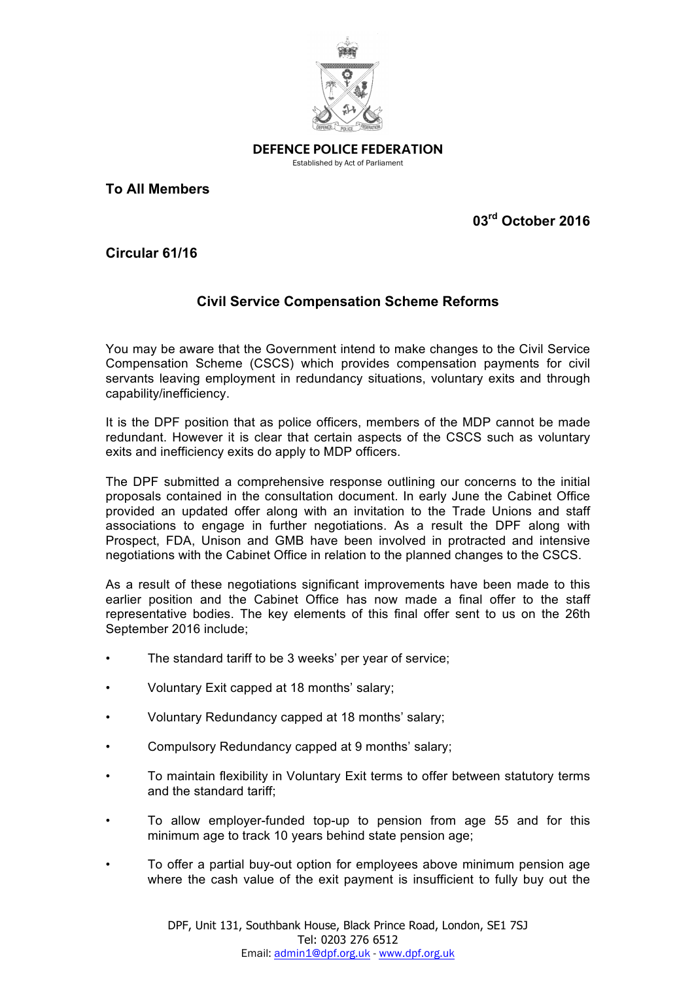

DEFENCE POLICE FEDERATION

Established by Act of Parliament

**To All Members**

**03rd October 2016**

**Circular 61/16**

## **Civil Service Compensation Scheme Reforms**

You may be aware that the Government intend to make changes to the Civil Service Compensation Scheme (CSCS) which provides compensation payments for civil servants leaving employment in redundancy situations, voluntary exits and through capability/inefficiency.

It is the DPF position that as police officers, members of the MDP cannot be made redundant. However it is clear that certain aspects of the CSCS such as voluntary exits and inefficiency exits do apply to MDP officers.

The DPF submitted a comprehensive response outlining our concerns to the initial proposals contained in the consultation document. In early June the Cabinet Office provided an updated offer along with an invitation to the Trade Unions and staff associations to engage in further negotiations. As a result the DPF along with Prospect, FDA, Unison and GMB have been involved in protracted and intensive negotiations with the Cabinet Office in relation to the planned changes to the CSCS.

As a result of these negotiations significant improvements have been made to this earlier position and the Cabinet Office has now made a final offer to the staff representative bodies. The key elements of this final offer sent to us on the 26th September 2016 include;

- The standard tariff to be 3 weeks' per year of service;
- Voluntary Exit capped at 18 months' salary;
- Voluntary Redundancy capped at 18 months' salary;
- Compulsory Redundancy capped at 9 months' salary;
- To maintain flexibility in Voluntary Exit terms to offer between statutory terms and the standard tariff;
- To allow employer-funded top-up to pension from age 55 and for this minimum age to track 10 years behind state pension age;
- To offer a partial buy-out option for employees above minimum pension age where the cash value of the exit payment is insufficient to fully buy out the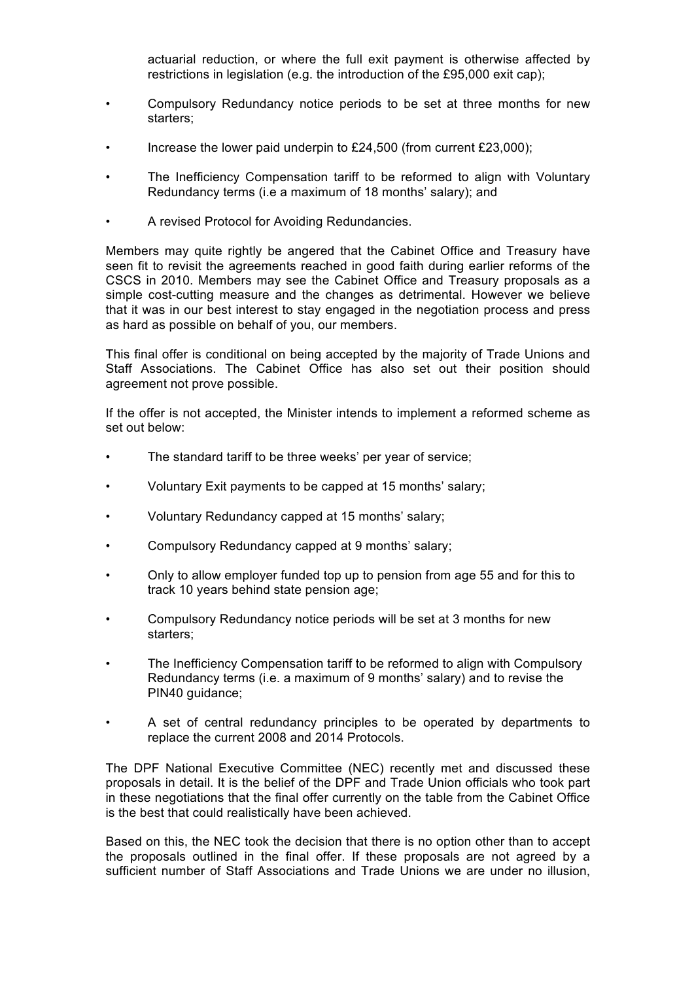actuarial reduction, or where the full exit payment is otherwise affected by restrictions in legislation (e.g. the introduction of the £95,000 exit cap);

- Compulsory Redundancy notice periods to be set at three months for new starters;
- Increase the lower paid underpin to £24,500 (from current £23,000);
- The Inefficiency Compensation tariff to be reformed to align with Voluntary Redundancy terms (i.e a maximum of 18 months' salary); and
- A revised Protocol for Avoiding Redundancies.

Members may quite rightly be angered that the Cabinet Office and Treasury have seen fit to revisit the agreements reached in good faith during earlier reforms of the CSCS in 2010. Members may see the Cabinet Office and Treasury proposals as a simple cost-cutting measure and the changes as detrimental. However we believe that it was in our best interest to stay engaged in the negotiation process and press as hard as possible on behalf of you, our members.

This final offer is conditional on being accepted by the majority of Trade Unions and Staff Associations. The Cabinet Office has also set out their position should agreement not prove possible.

If the offer is not accepted, the Minister intends to implement a reformed scheme as set out below:

- The standard tariff to be three weeks' per year of service;
- Voluntary Exit payments to be capped at 15 months' salary;
- Voluntary Redundancy capped at 15 months' salary;
- Compulsory Redundancy capped at 9 months' salary;
- Only to allow employer funded top up to pension from age 55 and for this to track 10 years behind state pension age;
- Compulsory Redundancy notice periods will be set at 3 months for new starters;
- The Inefficiency Compensation tariff to be reformed to align with Compulsory Redundancy terms (i.e. a maximum of 9 months' salary) and to revise the PIN40 quidance:
- A set of central redundancy principles to be operated by departments to replace the current 2008 and 2014 Protocols.

The DPF National Executive Committee (NEC) recently met and discussed these proposals in detail. It is the belief of the DPF and Trade Union officials who took part in these negotiations that the final offer currently on the table from the Cabinet Office is the best that could realistically have been achieved.

Based on this, the NEC took the decision that there is no option other than to accept the proposals outlined in the final offer. If these proposals are not agreed by a sufficient number of Staff Associations and Trade Unions we are under no illusion,